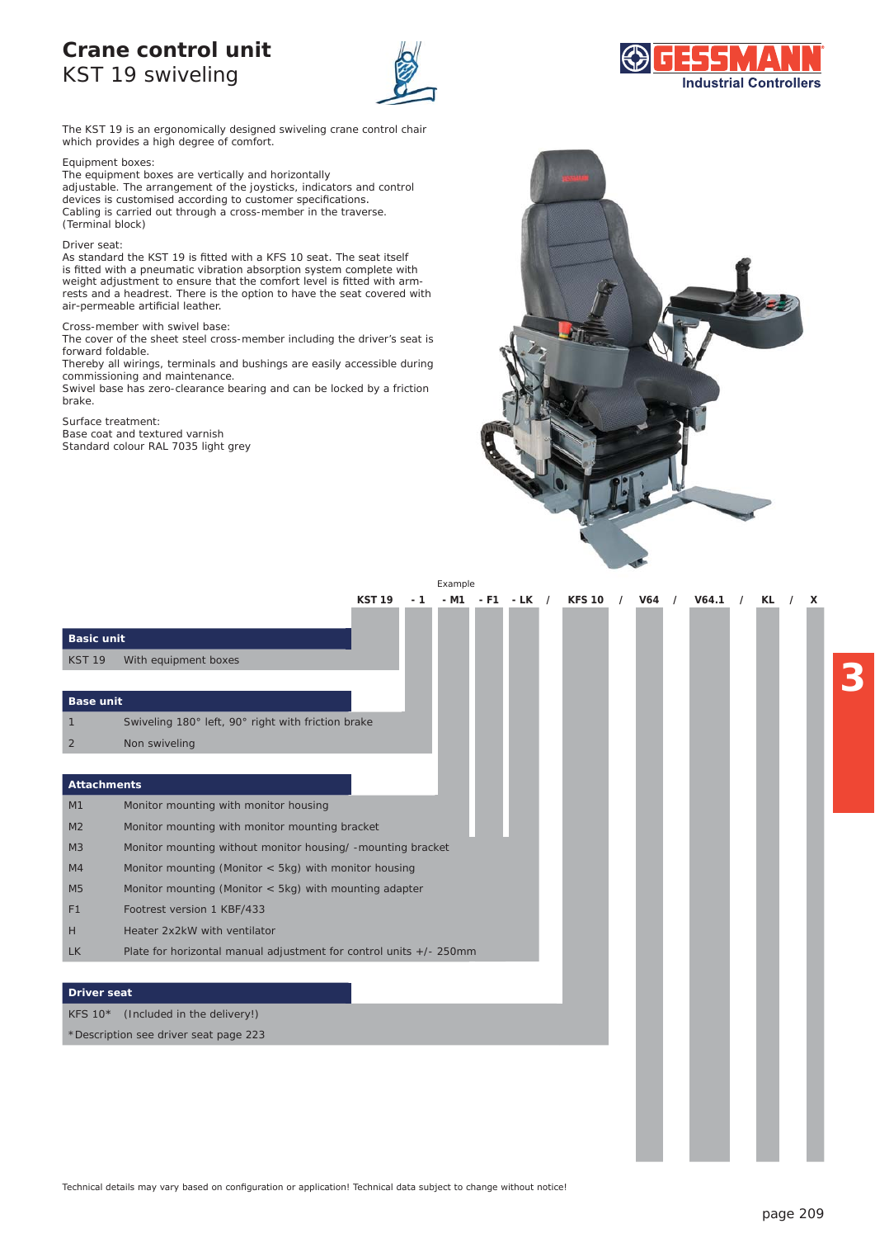### **Crane control unit**  KST 19 swiveling





The KST 19 is an ergonomically designed swiveling crane control chair which provides a high degree of comfort.

#### Equipment boxes:

The equipment boxes are vertically and horizontally adjustable. The arrangement of the joysticks, indicators and control devices is customised according to customer specifications. Cabling is carried out through a cross-member in the traverse. (Terminal block)

#### Driver seat:

As standard the KST 19 is fitted with a KFS 10 seat. The seat itself is fitted with a pneumatic vibration absorption system complete with WHITE THE PROBABLE THERMAN WORD, PERMIT COMPUTER THE COMPUTER OF THE VALUE OF THE VALUE OF THE VALUE OF THE VALUE OF THE VALUE OF THE VALUE OF THE VALUE OF THE VALUE OF THE VALUE OF THE VALUE OF THE VALUE OF THE VALUE OF T rests and a headrest. There is the option to have the seat covered with air-permeable artificial leather.

#### Cross-member with swivel base:

The cover of the sheet steel cross-member including the driver's seat is forward foldable.

Thereby all wirings, terminals and bushings are easily accessible during commissioning and maintenance.

Swivel base has zero-clearance bearing and can be locked by a friction brake.

#### Surface treatment:

Base coat and textured varnish Standard colour RAL 7035 light grey



|                    |                                                                    |               |     | LAdilipic |       |      |            |               |          |            |          |       |    |  |  |
|--------------------|--------------------------------------------------------------------|---------------|-----|-----------|-------|------|------------|---------------|----------|------------|----------|-------|----|--|--|
|                    |                                                                    | <b>KST 19</b> | - 1 | - M1      | $-FT$ | - LK | $\sqrt{2}$ | <b>KFS 10</b> | $\prime$ | <b>V64</b> | $\prime$ | V64.1 | KL |  |  |
|                    |                                                                    |               |     |           |       |      |            |               |          |            |          |       |    |  |  |
| <b>Basic unit</b>  |                                                                    |               |     |           |       |      |            |               |          |            |          |       |    |  |  |
| <b>KST 19</b>      | With equipment boxes                                               |               |     |           |       |      |            |               |          |            |          |       |    |  |  |
|                    |                                                                    |               |     |           |       |      |            |               |          |            |          |       |    |  |  |
| <b>Base unit</b>   |                                                                    |               |     |           |       |      |            |               |          |            |          |       |    |  |  |
|                    | Swiveling 180° left, 90° right with friction brake                 |               |     |           |       |      |            |               |          |            |          |       |    |  |  |
| 2                  | Non swiveling                                                      |               |     |           |       |      |            |               |          |            |          |       |    |  |  |
|                    |                                                                    |               |     |           |       |      |            |               |          |            |          |       |    |  |  |
| Attachments        |                                                                    |               |     |           |       |      |            |               |          |            |          |       |    |  |  |
| M1                 | Monitor mounting with monitor housing                              |               |     |           |       |      |            |               |          |            |          |       |    |  |  |
| M <sub>2</sub>     | Monitor mounting with monitor mounting bracket                     |               |     |           |       |      |            |               |          |            |          |       |    |  |  |
| M <sub>3</sub>     | Monitor mounting without monitor housing/ -mounting bracket        |               |     |           |       |      |            |               |          |            |          |       |    |  |  |
| M4                 | Monitor mounting (Monitor $<$ 5kg) with monitor housing            |               |     |           |       |      |            |               |          |            |          |       |    |  |  |
| M <sub>5</sub>     | Monitor mounting (Monitor $<$ 5kg) with mounting adapter           |               |     |           |       |      |            |               |          |            |          |       |    |  |  |
| F <sub>1</sub>     | Footrest version 1 KBF/433                                         |               |     |           |       |      |            |               |          |            |          |       |    |  |  |
| H                  | Heater 2x2kW with ventilator                                       |               |     |           |       |      |            |               |          |            |          |       |    |  |  |
| <b>LK</b>          | Plate for horizontal manual adjustment for control units +/- 250mm |               |     |           |       |      |            |               |          |            |          |       |    |  |  |
|                    |                                                                    |               |     |           |       |      |            |               |          |            |          |       |    |  |  |
| <b>Driver seat</b> |                                                                    |               |     |           |       |      |            |               |          |            |          |       |    |  |  |
| <b>KFS 10*</b>     | (Included in the delivery!)                                        |               |     |           |       |      |            |               |          |            |          |       |    |  |  |
|                    | *Description see driver seat page 223                              |               |     |           |       |      |            |               |          |            |          |       |    |  |  |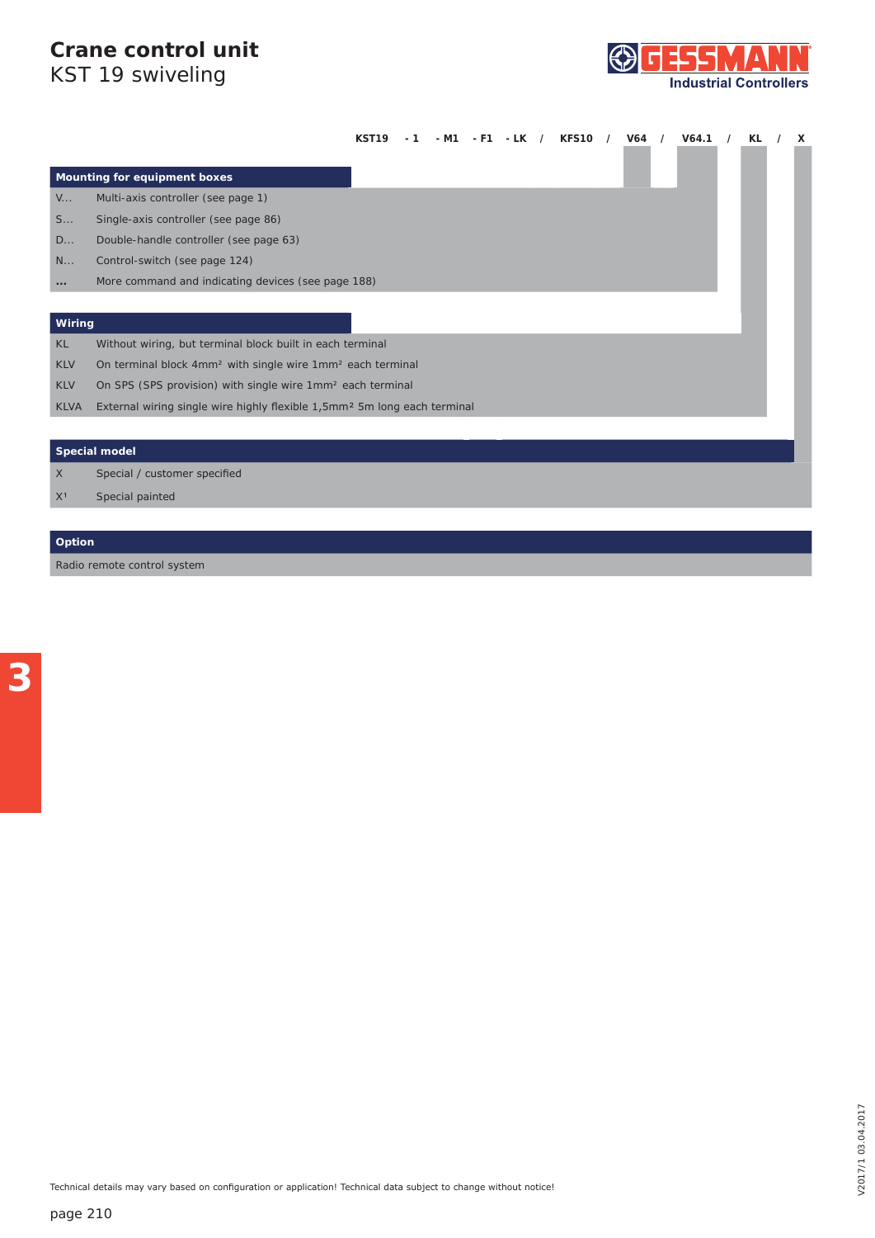# **Crane control unit**

**Industrial Controllers** 

| KST 19 swiveling |  |
|------------------|--|
|                  |  |

|              |                                                                                      | KST19 |  |  |  |  | V64.1 | KL | X |
|--------------|--------------------------------------------------------------------------------------|-------|--|--|--|--|-------|----|---|
|              | Mounting for equipment boxes                                                         |       |  |  |  |  |       |    |   |
| $V_{\cdots}$ | Multi-axis controller (see page 1)                                                   |       |  |  |  |  |       |    |   |
| S            | Single-axis controller (see page 86)                                                 |       |  |  |  |  |       |    |   |
| D            | Double-handle controller (see page 63)                                               |       |  |  |  |  |       |    |   |
| N            | Control-switch (see page 124)                                                        |       |  |  |  |  |       |    |   |
| $\cdots$     | More command and indicating devices (see page 188)                                   |       |  |  |  |  |       |    |   |
|              |                                                                                      |       |  |  |  |  |       |    |   |
| Wiring       |                                                                                      |       |  |  |  |  |       |    |   |
| <b>KL</b>    | Without wiring, but terminal block built in each terminal                            |       |  |  |  |  |       |    |   |
| <b>KLV</b>   | On terminal block 4mm <sup>2</sup> with single wire 1mm <sup>2</sup> each terminal   |       |  |  |  |  |       |    |   |
| <b>KLV</b>   | On SPS (SPS provision) with single wire 1mm <sup>2</sup> each terminal               |       |  |  |  |  |       |    |   |
| <b>KLVA</b>  | External wiring single wire highly flexible 1,5mm <sup>2</sup> 5m long each terminal |       |  |  |  |  |       |    |   |
|              |                                                                                      |       |  |  |  |  |       |    |   |
|              | <b>Special model</b>                                                                 |       |  |  |  |  |       |    |   |
| X            | Special / customer specified                                                         |       |  |  |  |  |       |    |   |

 $X<sup>1</sup>$  Special painted

#### **Option**

Radio remote control system